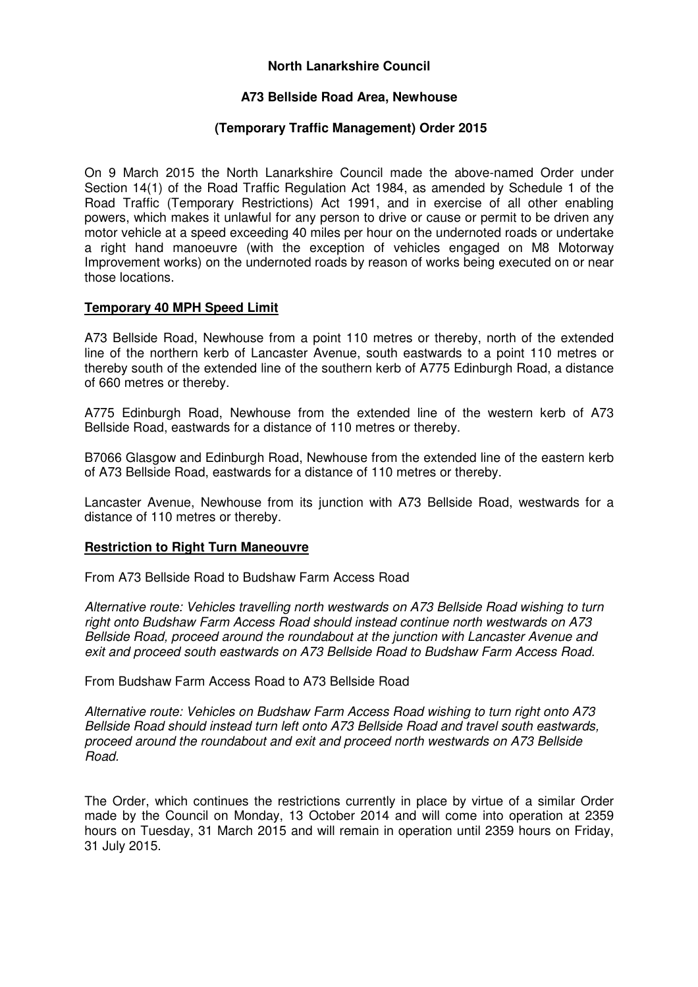# **North Lanarkshire Council**

## **A73 Bellside Road Area, Newhouse**

## **(Temporary Traffic Management) Order 2015**

On 9 March 2015 the North Lanarkshire Council made the above-named Order under Section 14(1) of the Road Traffic Regulation Act 1984, as amended by Schedule 1 of the Road Traffic (Temporary Restrictions) Act 1991, and in exercise of all other enabling powers, which makes it unlawful for any person to drive or cause or permit to be driven any motor vehicle at a speed exceeding 40 miles per hour on the undernoted roads or undertake a right hand manoeuvre (with the exception of vehicles engaged on M8 Motorway Improvement works) on the undernoted roads by reason of works being executed on or near those locations.

# **Temporary 40 MPH Speed Limit**

A73 Bellside Road, Newhouse from a point 110 metres or thereby, north of the extended line of the northern kerb of Lancaster Avenue, south eastwards to a point 110 metres or thereby south of the extended line of the southern kerb of A775 Edinburgh Road, a distance of 660 metres or thereby.

A775 Edinburgh Road, Newhouse from the extended line of the western kerb of A73 Bellside Road, eastwards for a distance of 110 metres or thereby.

B7066 Glasgow and Edinburgh Road, Newhouse from the extended line of the eastern kerb of A73 Bellside Road, eastwards for a distance of 110 metres or thereby.

Lancaster Avenue, Newhouse from its junction with A73 Bellside Road, westwards for a distance of 110 metres or thereby.

#### **Restriction to Right Turn Maneouvre**

From A73 Bellside Road to Budshaw Farm Access Road

Alternative route: Vehicles travelling north westwards on A73 Bellside Road wishing to turn right onto Budshaw Farm Access Road should instead continue north westwards on A73 Bellside Road, proceed around the roundabout at the junction with Lancaster Avenue and exit and proceed south eastwards on A73 Bellside Road to Budshaw Farm Access Road.

From Budshaw Farm Access Road to A73 Bellside Road

Alternative route: Vehicles on Budshaw Farm Access Road wishing to turn right onto A73 Bellside Road should instead turn left onto A73 Bellside Road and travel south eastwards, proceed around the roundabout and exit and proceed north westwards on A73 Bellside Road.

The Order, which continues the restrictions currently in place by virtue of a similar Order made by the Council on Monday, 13 October 2014 and will come into operation at 2359 hours on Tuesday, 31 March 2015 and will remain in operation until 2359 hours on Friday, 31 July 2015.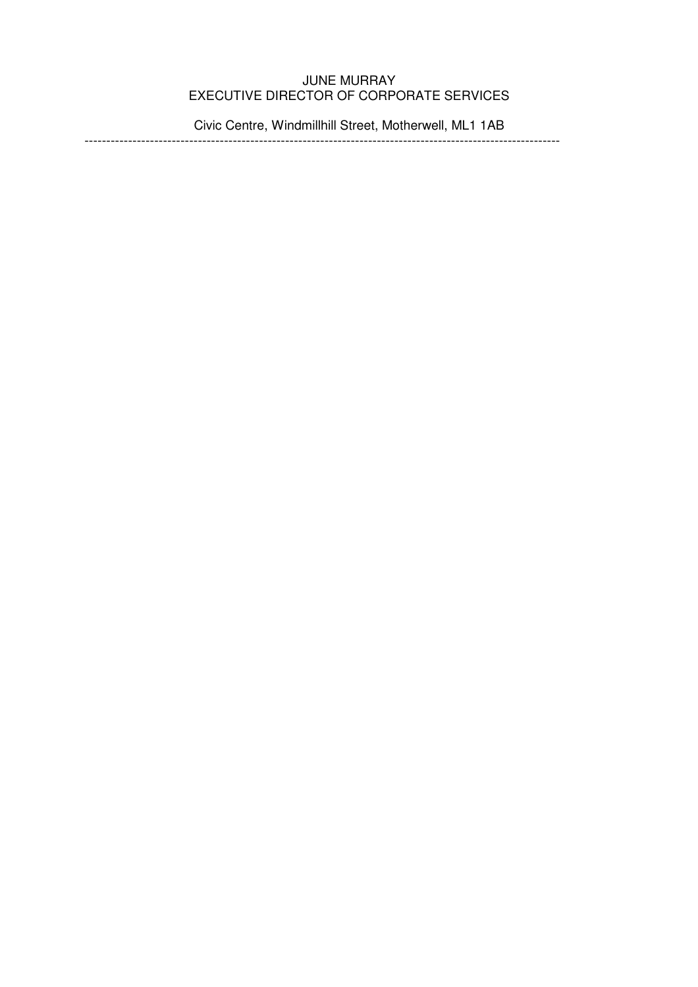# JUNE MURRAY EXECUTIVE DIRECTOR OF CORPORATE SERVICES

Civic Centre, Windmillhill Street, Motherwell, ML1 1AB

-------------------------------------------------------------------------------------------------------------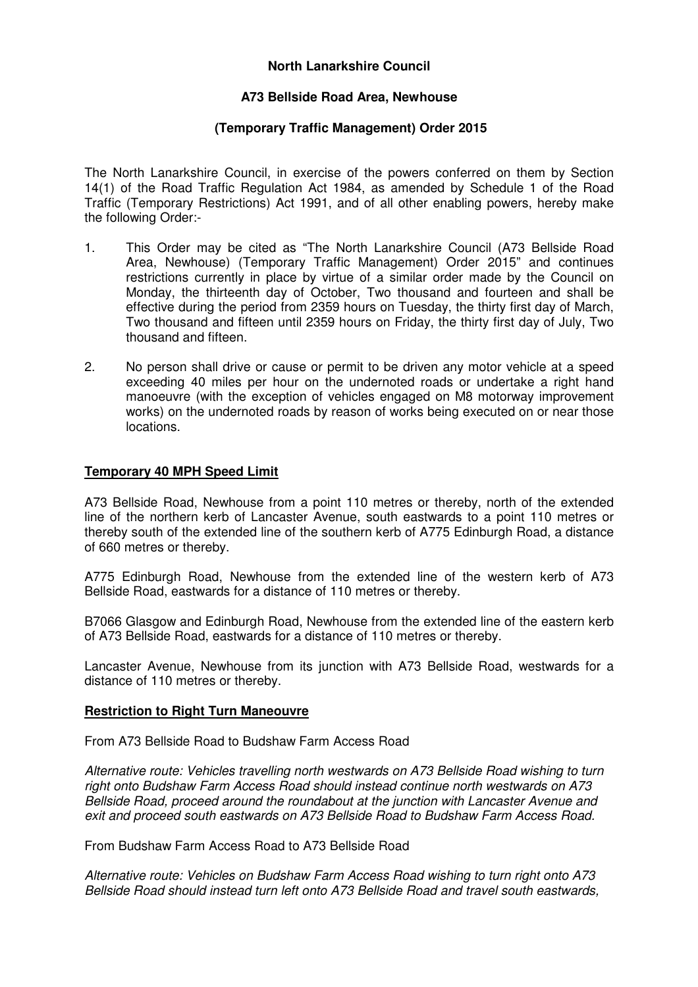# **North Lanarkshire Council**

## **A73 Bellside Road Area, Newhouse**

### **(Temporary Traffic Management) Order 2015**

The North Lanarkshire Council, in exercise of the powers conferred on them by Section 14(1) of the Road Traffic Regulation Act 1984, as amended by Schedule 1 of the Road Traffic (Temporary Restrictions) Act 1991, and of all other enabling powers, hereby make the following Order:-

- 1. This Order may be cited as "The North Lanarkshire Council (A73 Bellside Road Area, Newhouse) (Temporary Traffic Management) Order 2015" and continues restrictions currently in place by virtue of a similar order made by the Council on Monday, the thirteenth day of October, Two thousand and fourteen and shall be effective during the period from 2359 hours on Tuesday, the thirty first day of March, Two thousand and fifteen until 2359 hours on Friday, the thirty first day of July, Two thousand and fifteen.
- 2. No person shall drive or cause or permit to be driven any motor vehicle at a speed exceeding 40 miles per hour on the undernoted roads or undertake a right hand manoeuvre (with the exception of vehicles engaged on M8 motorway improvement works) on the undernoted roads by reason of works being executed on or near those locations.

#### **Temporary 40 MPH Speed Limit**

A73 Bellside Road, Newhouse from a point 110 metres or thereby, north of the extended line of the northern kerb of Lancaster Avenue, south eastwards to a point 110 metres or thereby south of the extended line of the southern kerb of A775 Edinburgh Road, a distance of 660 metres or thereby.

A775 Edinburgh Road, Newhouse from the extended line of the western kerb of A73 Bellside Road, eastwards for a distance of 110 metres or thereby.

B7066 Glasgow and Edinburgh Road, Newhouse from the extended line of the eastern kerb of A73 Bellside Road, eastwards for a distance of 110 metres or thereby.

Lancaster Avenue, Newhouse from its junction with A73 Bellside Road, westwards for a distance of 110 metres or thereby.

#### **Restriction to Right Turn Maneouvre**

From A73 Bellside Road to Budshaw Farm Access Road

Alternative route: Vehicles travelling north westwards on A73 Bellside Road wishing to turn right onto Budshaw Farm Access Road should instead continue north westwards on A73 Bellside Road, proceed around the roundabout at the junction with Lancaster Avenue and exit and proceed south eastwards on A73 Bellside Road to Budshaw Farm Access Road.

From Budshaw Farm Access Road to A73 Bellside Road

Alternative route: Vehicles on Budshaw Farm Access Road wishing to turn right onto A73 Bellside Road should instead turn left onto A73 Bellside Road and travel south eastwards,